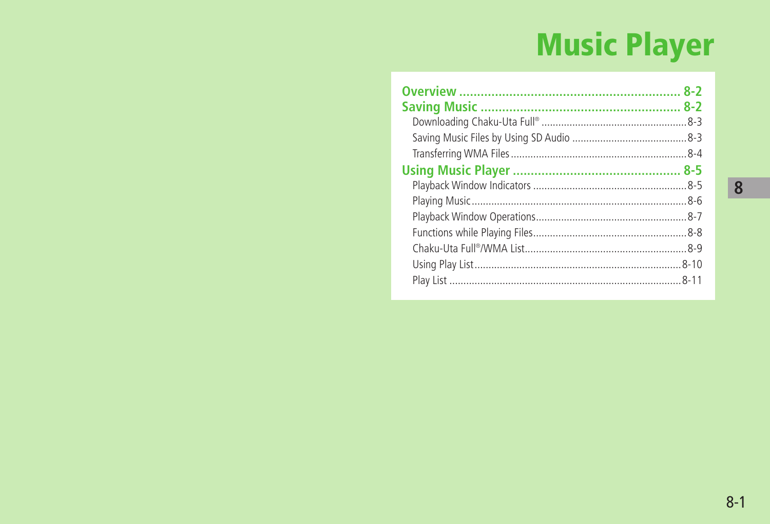# **Music Player**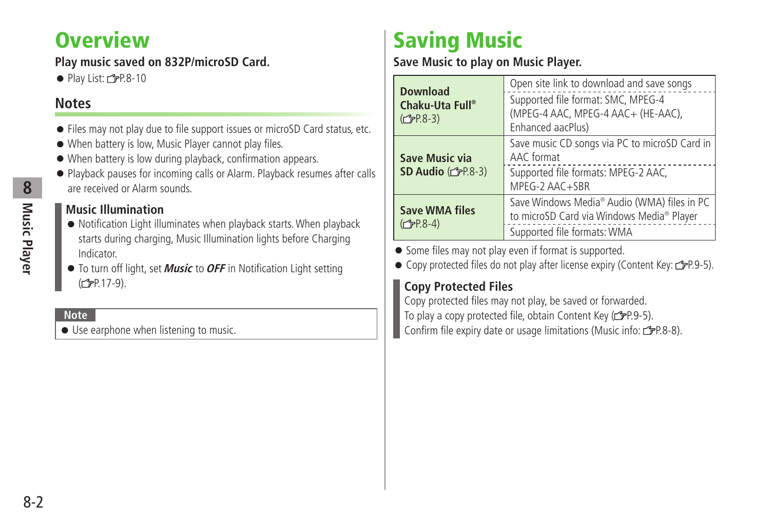# <span id="page-1-0"></span>**Overview**

## **Play music saved on 832P/microSD Card.**

 $\bullet$  Play List:  $\angle$ PP.8-10

## **Notes**

- Files may not play due to file support issues or microSD Card status, etc.
- When battery is low, Music Player cannot play files.
- When battery is low during playback, confirmation appears.
- Playback pauses for incoming calls or Alarm. Playback resumes after calls are received or Alarm sounds.

## **Music Illumination**

- Notification Light illuminates when playback starts. When playback starts during charging, Music Illumination lights before Charging Indicator.
- To turn off light, set **Music** to **OFF** in Notification Light setting (<del>f</del>P.17-9).

**Note**

● Use earphone when listening to music.

# **Saving Music**

## **Save Music to play on Music Player.**

| <b>Download</b><br>Chaku-Uta Full®<br>$(2P.8-3)$ | Open site link to download and save songs<br>Supported file format: SMC, MPEG-4<br>(MPEG-4 AAC, MPEG-4 AAC+ (HE-AAC),<br>Enhanced aacPlus) |
|--------------------------------------------------|--------------------------------------------------------------------------------------------------------------------------------------------|
| Save Music via<br>SD Audio $(\mathcal{F}P.8-3)$  | Save music CD songs via PC to microSD Card in<br>AAC format<br>Supported file formats: MPEG-2 AAC,<br>MPEG-2 AAC+SBR                       |
| <b>Save WMA files</b><br>$(2P.8-4)$              | Save Windows Media® Audio (WMA) files in PC<br>to microSD Card via Windows Media® Player<br>Supported file formats: WMA                    |

● Some files may not play even if format is supported.

● Copy protected files do not play after license expiry (Content Key:  $2P.9-5$ ).

## **Copy Protected Files**

Copy protected files may not play, be saved or forwarded. To play a copy protected file, obtain Content Key ( $\mathcal{F}P.9-5$ ). Confirm file expiry date or usage limitations (Music info: r  $\mathcal{F}P.8-8$ ).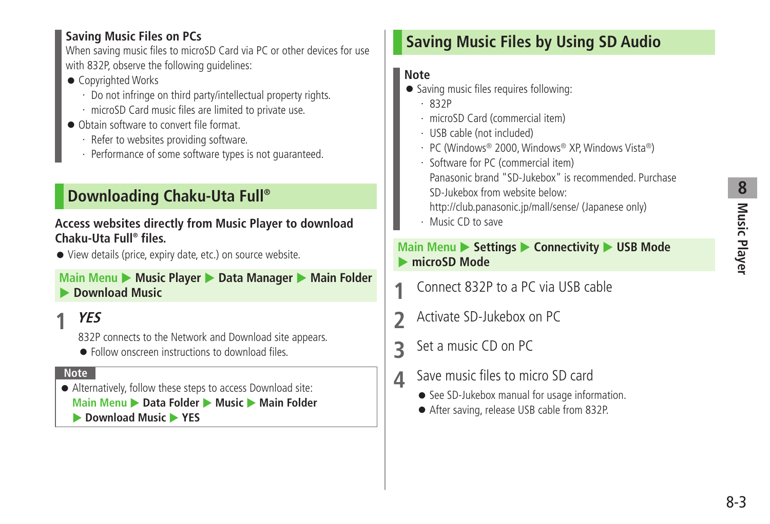# **8** Music Player **Music Player**

### <span id="page-2-0"></span>**Saving Music Files on PCs**

When saving music files to microSD Card via PC or other devices for use with 832P, observe the following guidelines:

- Copyrighted Works
	- ・ Do not infringe on third party/intellectual property rights.
	- ・ microSD Card music files are limited to private use.
- Obtain software to convert file format.
	- ・ Refer to websites providing software.
	- ・ Performance of some software types is not guaranteed.

# **Downloading Chaku-Uta Full®**

## **Access websites directly from Music Player to download Chaku-Uta Full® files.**

● View details (price, expiry date, etc.) on source website.

## **Main Menu ▶ Music Player ▶ Data Manager ▶ Main Folder Download Music**

# **1 YES**

832P connects to the Network and Download site appears.

● Follow onscreen instructions to download files.

#### **Note**

● Alternatively, follow these steps to access Download site: **Main Menu ▶ Data Folder ▶ Music ▶ Main Folder Download Music** YES

# **Saving Music Files by Using SD Audio**

## **Note**

- Saving music files requires following:
	- ・ 832P
	- ・ microSD Card (commercial item)
	- ・ USB cable (not included)
	- ・ PC (Windows® 2000, Windows® XP, Windows Vista®)
	- ・ Software for PC (commercial item)
		- Panasonic brand "SD-Jukebox" is recommended. Purchase SD-Jukebox from website below:
		- http://club.panasonic.jp/mall/sense/ (Japanese only)
	- ・ Music CD to save

## **Main Menu > Settings > Connectivity > USB Mode**  $\triangleright$  **microSD Mode**

- **1** Connect 832P to a PC via USB cable
- **2** Activate SD-Jukebox on PC
- **3** Set a music CD on PC
- **4** Save music files to micro SD card
	- See SD-Jukebox manual for usage information.
	- After saving, release USB cable from 832P.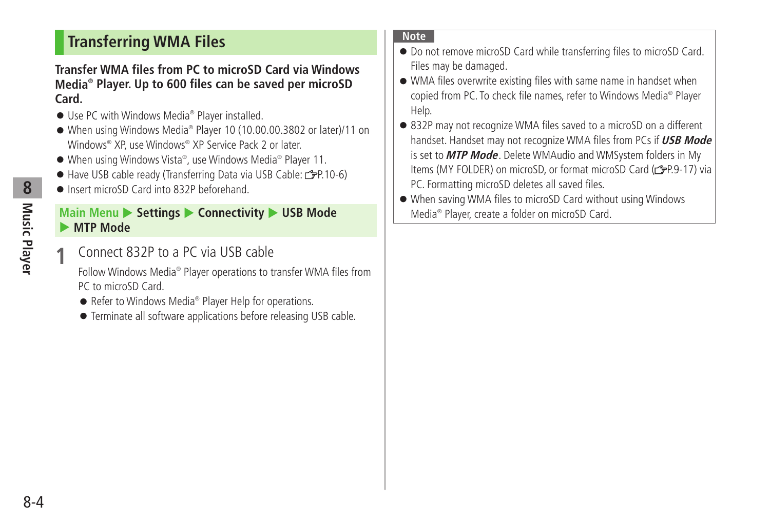# <span id="page-3-0"></span>**Transferring WMA Files**

#### **Transfer WMA files from PC to microSD Card via Windows Media® Player. Up to 600 files can be saved per microSD Card.**

- Use PC with Windows Media<sup>®</sup> Player installed.
- When using Windows Media® Player 10 (10.00.00.3802 or later)/11 on Windows® XP, use Windows® XP Service Pack 2 or later.
- When using Windows Vista®, use Windows Media® Player 11.
- Have USB cable ready (Transferring Data via USB Cable: £P.10-6)
- Insert microSD Card into 832P beforehand

### **Main Menu ▶ Settings ▶ Connectivity ▶ USB Mode MTP Mode**

**1** Connect 832P to a PC via USB cable

Follow Windows Media<sup>®</sup> Player operations to transfer WMA files from PC to microSD Card.

- Refer to Windows Media<sup>®</sup> Player Help for operations.
- Terminate all software applications before releasing USB cable.

#### **Note**

- Do not remove microSD Card while transferring files to microSD Card. Files may be damaged.
- WMA files overwrite existing files with same name in handset when copied from PC. To check file names, refer to Windows Media® Player Help.
- 832P may not recognize WMA files saved to a microSD on a different handset. Handset may not recognize WMA files from PCs if **USB Mode** is set to **MTP Mode**. Delete WMAudio and WMSystem folders in My Items (MY FOLDER) on microSD, or format microSD Card ( $\equiv$ P.9-17) via PC. Formatting microSD deletes all saved files.
- When saving WMA files to microSD Card without using Windows Media® Player, create a folder on microSD Card.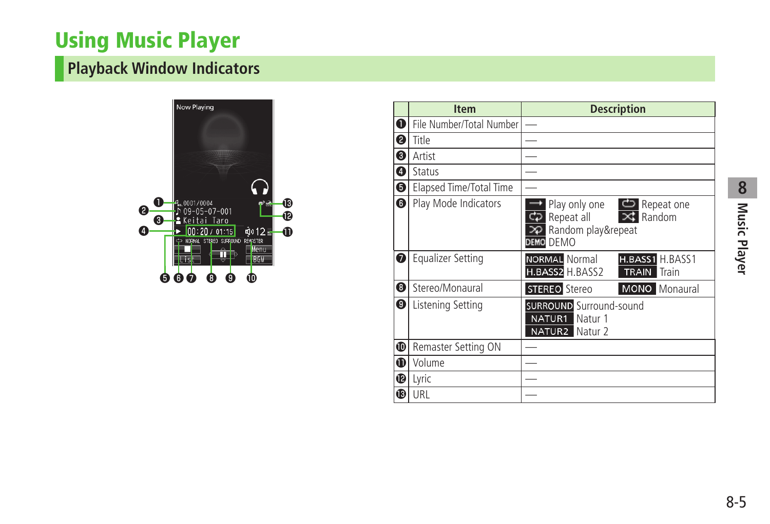# <span id="page-4-0"></span>**Using Music Player**

# **Playback Window Indicators**



|    | <b>Item</b>              | <b>Description</b>                                                                                   |
|----|--------------------------|------------------------------------------------------------------------------------------------------|
| 10 | File Number/Total Number |                                                                                                      |
| ❷  | Title                    |                                                                                                      |
| ❸  | Artist                   |                                                                                                      |
| 0  | Status                   |                                                                                                      |
| 10 | Elapsed Time/Total Time  |                                                                                                      |
| 6  | Play Mode Indicators     | Play only one $\Box$ Repeat one<br>$\geq$ Random<br>Repeat all<br>>P Random play&repeat<br>DEMO DEMO |
| ❼  | <b>Equalizer Setting</b> | NORMAL Normal<br>H.BASS1 H.BASS1<br>H.BASS2 H.BASS2<br>Train<br><b>TRAIN</b>                         |
| 8  | Stereo/Monaural          | <b>STEREO</b> Stereo<br><b>MONO</b> Monaural                                                         |
| 10 | Listening Setting        | <b>SURROUND</b> Surround-sound<br>NATUR1<br>Natur 1<br>NATUR2 Natur 2                                |
| ❶  | Remaster Setting ON      |                                                                                                      |
| ❶  | Volume                   |                                                                                                      |
| ⊕  | Lyric                    |                                                                                                      |
| ®  | URL                      |                                                                                                      |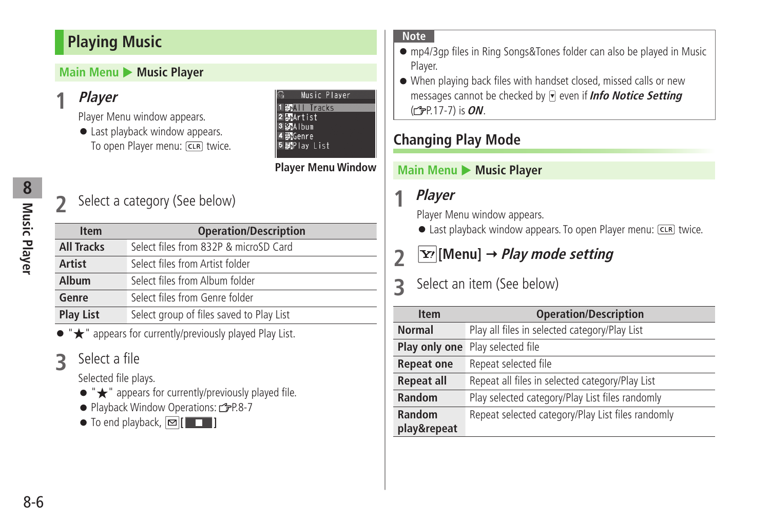# <span id="page-5-0"></span>**Playing Music**

## **Main Menu > Music Player**

# **1 Player**

Player Menu window appears.

● Last playback window appears. To open Player menu: CLR twice.

#### Music Player **EMIL Tracks**  $2$   $B<sub>2</sub>$  Artist 3 MAIbum 4 婴 Genre 即Play List

## **Player Menu Window**

# **Music Player** Music Player

# **2** Select a category (See below)

| <b>Item</b>       | <b>Operation/Description</b>             |
|-------------------|------------------------------------------|
| <b>All Tracks</b> | Select files from 832P & microSD Card    |
| <b>Artist</b>     | Select files from Artist folder          |
| Album             | Select files from Album folder           |
| Genre             | Select files from Genre folder           |
| <b>Play List</b>  | Select group of files saved to Play List |
|                   |                                          |

appears for currently/previously played Play List.

# **3** Select a file

Selected file plays.

- "★" appears for currently/previously played file.
- Playback Window Operations: <del>『</del>P.8-7

 $\bullet$  To end playback,  $\boxed{\odot}$  [ $\boxed{\bullet}$ ]

#### **Note**

- mp4/3gp files in Ring Songs&Tones folder can also be played in Music Player.
- When playing back files with handset closed, missed calls or new messages cannot be checked by even if **Info Notice Setting**  ( P.17-7) is **ON**.

# **Changing Play Mode**

## **Main Menu** Music Player

# **1 Player**

Player Menu window appears.

● Last playback window appears. To open Player menu: CLR twice.

# **2** *[x]* [Menu]  $\rightarrow$  *Play mode setting*

# **3** Select an item (See below)

| <b>Item</b>       | <b>Operation/Description</b>                      |
|-------------------|---------------------------------------------------|
| <b>Normal</b>     | Play all files in selected category/Play List     |
| Play only one     | Play selected file                                |
| <b>Repeat one</b> | Repeat selected file                              |
| <b>Repeat all</b> | Repeat all files in selected category/Play List   |
| Random            | Play selected category/Play List files randomly   |
| Random            | Repeat selected category/Play List files randomly |
| play&repeat       |                                                   |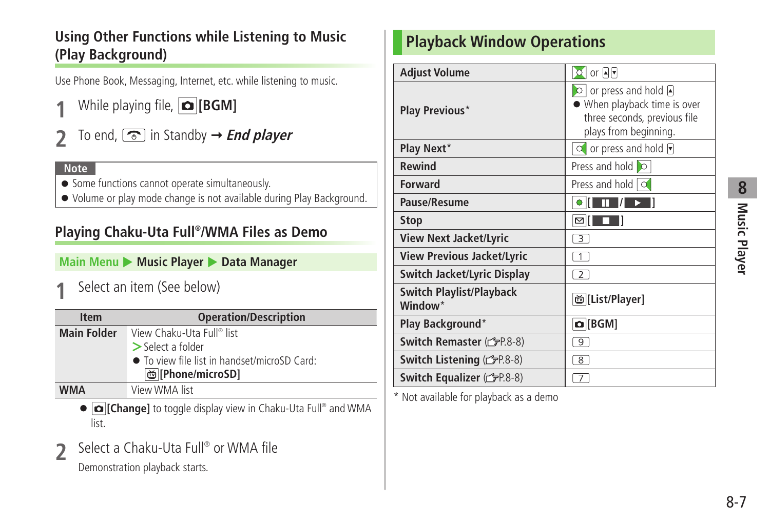# <span id="page-6-0"></span>**Using Other Functions while Listening to Music (Play Background)**

Use Phone Book, Messaging, Internet, etc. while listening to music.

- **1** While playing file, **[BGM]**
- To end,  $\circled{2}$  in Standby  $\rightarrow$  *End player*

#### **Note**

- Some functions cannot operate simultaneously.
- Volume or play mode change is not available during Play Background.

# **Playing Chaku-Uta Full® /WMA Files as Demo**

**Main Menu > Music Player > Data Manager** 

**1** Select an item (See below)

| <b>Item</b>        | <b>Operation/Description</b>                 |
|--------------------|----------------------------------------------|
| <b>Main Folder</b> | View Chaku-Uta Full® list                    |
|                    | $\geq$ Select a folder                       |
|                    | • To view file list in handset/microSD Card: |
|                    | ඏ [Phone/microSD]                            |
| <b>WMA</b>         | View WMA list                                |

- **[o] [Change]** to toggle display view in Chaku-Uta Full<sup>®</sup> and WMA list.
- **2** Select a Chaku-Uta Full<sup>®</sup> or WMA file

Demonstration playback starts.

# **Playback Window Operations**

| <b>Adjust Volume</b>                                   | $ O $ or $ A $                                                                                                           |
|--------------------------------------------------------|--------------------------------------------------------------------------------------------------------------------------|
| <b>Play Previous*</b>                                  | $\circ$ or press and hold $\circ$<br>When playback time is over<br>three seconds, previous file<br>plays from beginning. |
| Play Next*                                             | $\circ$ or press and hold $\overline{\mathbf{v}}$                                                                        |
| <b>Rewind</b>                                          | Press and hold O                                                                                                         |
| <b>Forward</b>                                         | Press and hold $\alpha$                                                                                                  |
| Pause/Resume                                           |                                                                                                                          |
| <b>Stop</b>                                            | ⊠∥                                                                                                                       |
| <b>View Next Jacket/Lyric</b>                          | 3                                                                                                                        |
| <b>View Previous Jacket/Lyric</b>                      | $\overline{1}$                                                                                                           |
| Switch Jacket/Lyric Display                            | $\overline{2}$                                                                                                           |
| <b>Switch Playlist/Playback</b><br>Window <sup>*</sup> | <b>凹[List/Player]</b>                                                                                                    |
| Play Background*                                       | $\Omega$ [BGM]                                                                                                           |
| Switch Remaster (SP.8-8)                               | $\overline{9}$                                                                                                           |
| Switch Listening (CFP.8-8)                             | $\overline{8}$                                                                                                           |
| Switch Equalizer (CFP.8-8)                             | $\overline{7}$                                                                                                           |

\* Not available for playback as a demo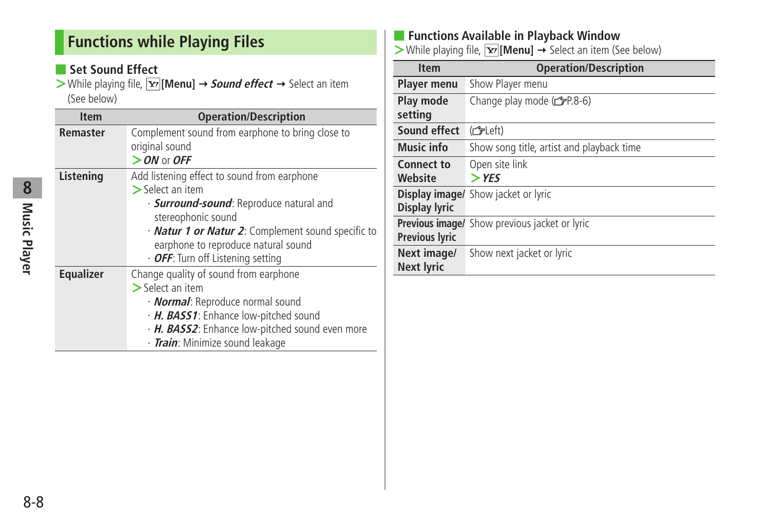# <span id="page-7-0"></span>**Functions while Playing Files**

## ■ Set Sound Effect

> While playing file, **[x7]** [Menu] → **Sound effect** → Select an item (See below)

| <b>Item</b>      | <b>Operation/Description</b>                               |
|------------------|------------------------------------------------------------|
| <b>Remaster</b>  | Complement sound from earphone to bring close to           |
|                  | original sound                                             |
|                  | $>$ ON or OFF                                              |
| Listening        | Add listening effect to sound from earphone                |
|                  | $>$ Select an item                                         |
|                  | · <b>Surround-sound</b> : Reproduce natural and            |
|                  | stereophonic sound                                         |
|                  | · <b>Natur 1 or Natur 2</b> : Complement sound specific to |
|                  | earphone to reproduce natural sound                        |
|                  | $\cdot$ OFF: Turn off Listening setting                    |
| <b>Equalizer</b> | Change quality of sound from earphone                      |
|                  | $>$ Select an item                                         |
|                  | · <b>Normal</b> : Reproduce normal sound                   |
|                  | · H. BASS1: Enhance low-pitched sound                      |
|                  | · H. BASS2: Enhance low-pitched sound even more            |
|                  | The face Milateria company di Londromo                     |

・ **Train**: Minimize sound leakage

## ■ **Functions Available in Playback Window**

**>**While playing file, **[x**<sup>2</sup>] **[Menu]** → Select an item (See below)

| <b>Item</b>           | <b>Operation/Description</b>                  |
|-----------------------|-----------------------------------------------|
| <b>Player menu</b>    | Show Player menu                              |
| Play mode             | Change play mode $(\mathcal{F}P.8-6)$         |
| setting               |                                               |
| Sound effect          | (fdeft)                                       |
| <b>Music info</b>     | Show song title, artist and playback time     |
| <b>Connect to</b>     | Open site link                                |
| Website               | $>$ YES                                       |
|                       | <b>Display image/</b> Show jacket or lyric    |
| <b>Display lyric</b>  |                                               |
|                       | Previous image/ Show previous jacket or lyric |
| <b>Previous lyric</b> |                                               |
| Next image/           | Show next jacket or lyric                     |
| <b>Next lyric</b>     |                                               |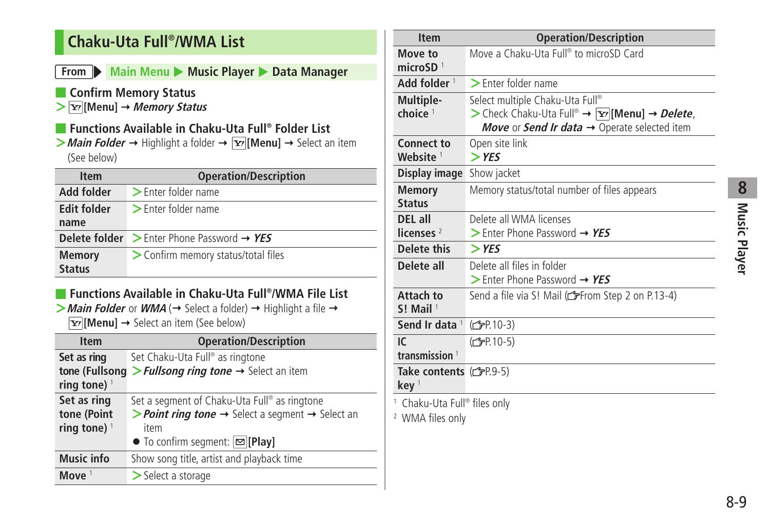# <span id="page-8-0"></span>**Chaku-Uta Full® /WMA List**

## **From Main Menu** Music Player **Data Manager**

## ■ **Confirm Memory Status**

**> [Menu] Memory Status**

## ■ **Functions Available in Chaku-Uta Full® Folder List**

 $>$  *Main Folder* → Highlight a folder →  $\overline{Y}$  [Menu] → Select an item (See below)

| <b>Item</b>        | <b>Operation/Description</b>                                       |
|--------------------|--------------------------------------------------------------------|
| Add folder         | $\triangleright$ Enter folder name                                 |
| <b>Edit folder</b> | $\triangleright$ Enter folder name                                 |
| name               |                                                                    |
|                    | <b>Delete folder</b> $\geq$ Enter Phone Password $\rightarrow$ YES |
| <b>Memory</b>      | > Confirm memory status/total files                                |
| <b>Status</b>      |                                                                    |

## ■ **Functions Available in Chaku-Uta Full® /WMA File List**

 $>$  **Main Folder** or **WMA** ( $\rightarrow$  Select a folder)  $\rightarrow$  Highlight a file  $\rightarrow$  $\boxed{\mathbf{Y}}$  [Menu]  $\rightarrow$  Select an item (See below)

| <b>Item</b>                   | <b>Operation/Description</b>                                                                  |
|-------------------------------|-----------------------------------------------------------------------------------------------|
| Set as ring<br>tone (Fullsong | Set Chaku-Uta Full® as ringtone<br>> Fullsong ring tone $\rightarrow$ Select an item          |
| ring tone) $1$                |                                                                                               |
| Set as ring                   | Set a segment of Chaku-Uta Full® as ringtone                                                  |
| tone (Point                   | <b>&gt; Point ring tone <math>\rightarrow</math></b> Select a segment $\rightarrow$ Select an |
| ring tone) $1$                | item                                                                                          |
|                               | $\bullet$ To confirm segment: $\boxed{\simeq}$ [Play]                                         |
| <b>Music info</b>             | Show song title, artist and playback time                                                     |
| Move $1$                      | $>$ Select a storage                                                                          |

| <b>Item</b>                                                            | <b>Operation/Description</b>                                                          |
|------------------------------------------------------------------------|---------------------------------------------------------------------------------------|
| Move to<br>microSD $1$                                                 | Move a Chaku-Uta Full® to microSD Card                                                |
| Add folder <sup>1</sup>                                                | > Enter folder name                                                                   |
| Multiple-                                                              | Select multiple Chaku-Uta Full®                                                       |
| choice $1$                                                             | > Check Chaku-Uta Full® $\rightarrow \boxed{Y'}$ [Menu] $\rightarrow$ <i>Delete</i> , |
|                                                                        | Move or Send Ir data $\rightarrow$ Operate selected item                              |
| Connect to<br>Website <sup>1</sup>                                     | Open site link<br>$>$ YES                                                             |
| Display image                                                          | Show jacket                                                                           |
| <b>Memory</b><br><b>Status</b>                                         | Memory status/total number of files appears                                           |
| DEL all                                                                | Delete all WMA licenses                                                               |
| licenses $2$                                                           | $>$ Enter Phone Password $\rightarrow$ YES                                            |
| <b>Delete this</b>                                                     | $>$ YES                                                                               |
| Delete all                                                             | Delete all files in folder                                                            |
|                                                                        | > Enter Phone Password $\rightarrow$ YES                                              |
| Attach to<br>$S!$ Mail <sup>1</sup>                                    | Send a file via S! Mail (referom Step 2 on P.13-4)                                    |
| Send Ir data 1                                                         | (C <sub>FP</sub> P.10-3)                                                              |
| IC                                                                     | (子P.10-5)                                                                             |
| transmission $1$                                                       |                                                                                       |
| Take contents $(\mathcal{F}P.9-5)$<br>keV <sup>1</sup>                 |                                                                                       |
| <sup>1</sup> Chaku-Uta Full® files only<br><sup>2</sup> WMA files only |                                                                                       |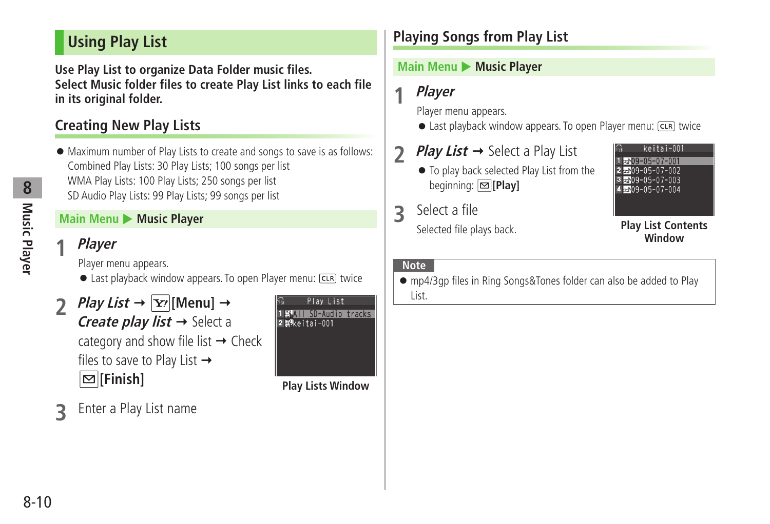# <span id="page-9-0"></span>**Using Play List**

**Use Play List to organize Data Folder music files. Select Music folder files to create Play List links to each file in its original folder.**

# **Creating New Play Lists**

● Maximum number of Play Lists to create and songs to save is as follows: Combined Play Lists: 30 Play Lists; 100 songs per list WMA Play Lists: 100 Play Lists; 250 songs per list SD Audio Play Lists: 99 Play Lists; 99 songs per list

## **Main Menu** Music Player

## **1 Player**

Player menu appears.

- Last playback window appears. To open Player menu: CLR twice
- *Play List*  $\rightarrow \boxed{\text{Y}}$  [Menu]  $\rightarrow$ **Create play list**  $\rightarrow$  **Select a** category and show file list  $\rightarrow$  Check files to save to Play List  $\rightarrow$ **[Finish]**



**3** Enter a Play List name

# **Playing Songs from Play List**

## **Main Menu > Music Player**

**1 Player**

Player menu appears.

- $\bullet$  Last playback window appears. To open Player menu:  $\overline{CER}$  twice
- **2** *Play List* **→ Select a Play List** 
	- To play back selected Play List from the beginning: **[Play]**
- **3** Select a file

Selected file plays back.



#### **Play List Contents Window**

#### **Note**

● mp4/3gp files in Ring Songs&Tones folder can also be added to Play List.

8-10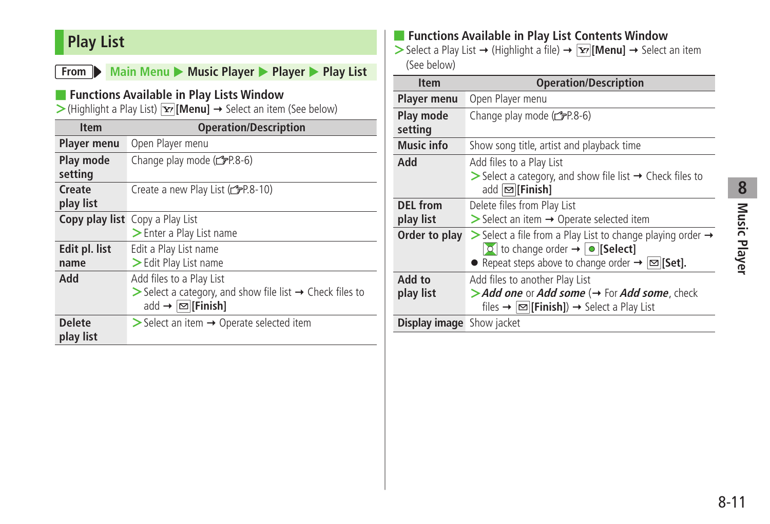# <span id="page-10-0"></span>**Play List**

|                                                                                                                                                       | From Main Menu Music Player Player Play List                                                                                                                 |  |
|-------------------------------------------------------------------------------------------------------------------------------------------------------|--------------------------------------------------------------------------------------------------------------------------------------------------------------|--|
| Functions Available in Play Lists Window<br>$\triangleright$ (Highlight a Play List) $\triangleright$ [Menu] $\rightarrow$ Select an item (See below) |                                                                                                                                                              |  |
| <b>Item</b>                                                                                                                                           | <b>Operation/Description</b>                                                                                                                                 |  |
| <b>Player menu</b>                                                                                                                                    | Open Player menu                                                                                                                                             |  |
| Play mode<br>setting                                                                                                                                  | Change play mode (rgP.8-6)                                                                                                                                   |  |
| Create<br>play list                                                                                                                                   | Create a new Play List (reate 10)                                                                                                                            |  |
|                                                                                                                                                       | <b>Copy play list</b> Copy a Play List<br>$\triangleright$ Enter a Play List name                                                                            |  |
| Edit pl. list<br>name                                                                                                                                 | Edit a Play List name<br>> Edit Play List name                                                                                                               |  |
| Add                                                                                                                                                   | Add files to a Play List<br>$\triangleright$ Select a category, and show file list $\rightarrow$ Check files to<br>add $\rightarrow \boxed{\infty}$ [Finish] |  |
| <b>Delete</b><br>play list                                                                                                                            | $\triangleright$ Select an item $\rightarrow$ Operate selected item                                                                                          |  |

## ■ **Functions Available in Play List Contents Window**

 $>$  Select a Play List  $→$  (Highlight a file)  $→$   $\boxed{Y}$ [**Menu**]  $→$  Select an item (See below)

| <b>Item</b>                      | <b>Operation/Description</b>                                                                                                                                                                                      |
|----------------------------------|-------------------------------------------------------------------------------------------------------------------------------------------------------------------------------------------------------------------|
| <b>Player menu</b>               | Open Player menu                                                                                                                                                                                                  |
| Play mode<br>setting             | Change play mode (rep.8-6)                                                                                                                                                                                        |
| <b>Music info</b>                | Show song title, artist and playback time                                                                                                                                                                         |
| Add                              | Add files to a Play List<br>$\triangleright$ Select a category, and show file list $\rightarrow$ Check files to<br>add ⊠ [Finish]                                                                                 |
| <b>DEL</b> from<br>play list     | Delete files from Play List<br>$\triangleright$ Select an item $\rightarrow$ Operate selected item                                                                                                                |
| Order to play                    | $\triangleright$ Select a file from a Play List to change playing order $\rightarrow$<br>$\circ$ to change order $\rightarrow \circ$ [Select]<br>• Repeat steps above to change order $\rightarrow \infty$ [Set]. |
| Add to<br>play list              | Add files to another Play List<br>> Add one or Add some $\leftrightarrow$ For Add some, check<br>files $\rightarrow \boxed{\infty}$ [Finish]) $\rightarrow$ Select a Play List                                    |
| <b>Display image</b> Show jacket |                                                                                                                                                                                                                   |